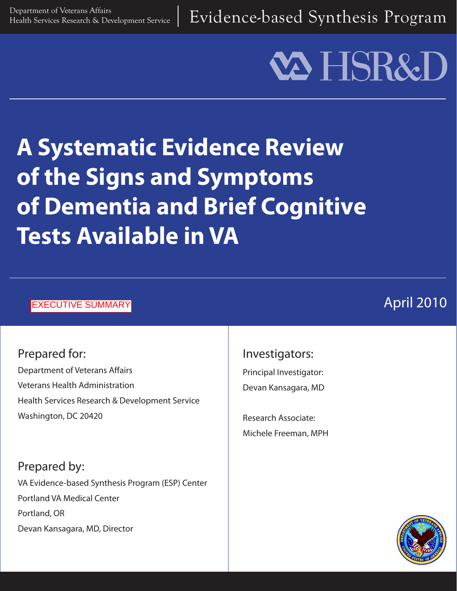Evidence-based Synthesis Program

# **VA HSR&I**

## **A Systematic Evidence Review of the Signs and Symptoms of Dementia and Brief Cognitive Tests Available in VA**

#### EXECUTIVE SUMMARY

### April 2010

Prepared for: Department of Veterans Affairs Veterans Health Administration Health Services Research & Development Service Washington, DC 20420

Prepared by: VA Evidence-based Synthesis Program (ESP) Center Portland VA Medical Center Portland, OR Devan Kansagara, MD, Director

#### Investigators:

Principal Investigator: Devan Kansagara, MD

Research Associate: Michele Freeman, MPH

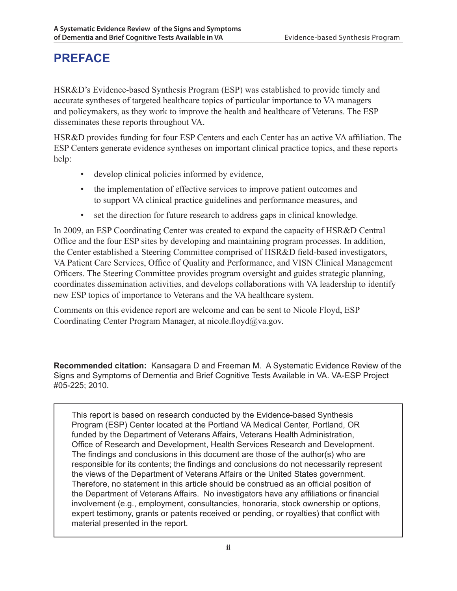#### **PREFACE**

HSR&D's Evidence-based Synthesis Program (ESP) was established to provide timely and accurate syntheses of targeted healthcare topics of particular importance to VA managers and policymakers, as they work to improve the health and healthcare of Veterans. The ESP disseminates these reports throughout VA.

HSR&D provides funding for four ESP Centers and each Center has an active VA affiliation. The ESP Centers generate evidence syntheses on important clinical practice topics, and these reports help:

- develop clinical policies informed by evidence,
- the implementation of effective services to improve patient outcomes and to support VA clinical practice guidelines and performance measures, and
- set the direction for future research to address gaps in clinical knowledge.

In 2009, an ESP Coordinating Center was created to expand the capacity of HSR&D Central Office and the four ESP sites by developing and maintaining program processes. In addition, the Center established a Steering Committee comprised of HSR&D field-based investigators, VA Patient Care Services, Office of Quality and Performance, and VISN Clinical Management Officers. The Steering Committee provides program oversight and guides strategic planning, coordinates dissemination activities, and develops collaborations with VA leadership to identify new ESP topics of importance to Veterans and the VA healthcare system.

Comments on this evidence report are welcome and can be sent to Nicole Floyd, ESP Coordinating Center Program Manager, at nicole.floyd@va.gov.

**Recommended citation:** Kansagara D and Freeman M. A Systematic Evidence Review of the Signs and Symptoms of Dementia and Brief Cognitive Tests Available in VA. VA-ESP Project #05-225; 2010.

This report is based on research conducted by the Evidence-based Synthesis Program (ESP) Center located at the Portland VA Medical Center, Portland, OR funded by the Department of Veterans Affairs, Veterans Health Administration, Office of Research and Development, Health Services Research and Development. The findings and conclusions in this document are those of the author(s) who are responsible for its contents; the findings and conclusions do not necessarily represent the views of the Department of Veterans Affairs or the United States government. Therefore, no statement in this article should be construed as an official position of the Department of Veterans Affairs. No investigators have any affiliations or financial involvement (e.g., employment, consultancies, honoraria, stock ownership or options, expert testimony, grants or patents received or pending, or royalties) that conflict with material presented in the report.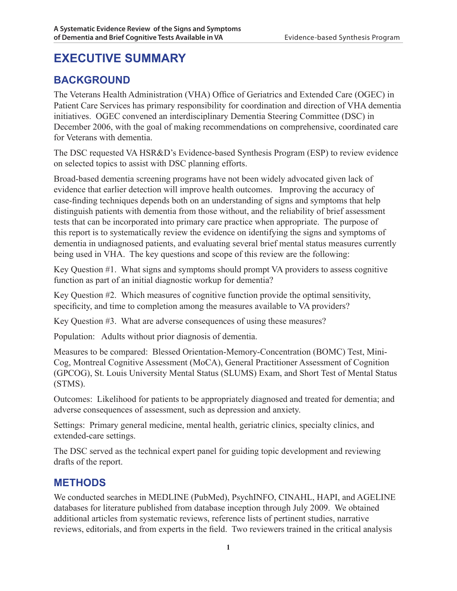#### **EXECUTIVE SUMMARY**

#### **BACKGROUND**

The Veterans Health Administration (VHA) Office of Geriatrics and Extended Care (OGEC) in Patient Care Services has primary responsibility for coordination and direction of VHA dementia initiatives. OGEC convened an interdisciplinary Dementia Steering Committee (DSC) in December 2006, with the goal of making recommendations on comprehensive, coordinated care for Veterans with dementia.

The DSC requested VA HSR&D's Evidence-based Synthesis Program (ESP) to review evidence on selected topics to assist with DSC planning efforts.

Broad-based dementia screening programs have not been widely advocated given lack of evidence that earlier detection will improve health outcomes. Improving the accuracy of case-finding techniques depends both on an understanding of signs and symptoms that help distinguish patients with dementia from those without, and the reliability of brief assessment tests that can be incorporated into primary care practice when appropriate. The purpose of this report is to systematically review the evidence on identifying the signs and symptoms of dementia in undiagnosed patients, and evaluating several brief mental status measures currently being used in VHA. The key questions and scope of this review are the following:

Key Question #1. What signs and symptoms should prompt VA providers to assess cognitive function as part of an initial diagnostic workup for dementia?

Key Question #2. Which measures of cognitive function provide the optimal sensitivity, specificity, and time to completion among the measures available to VA providers?

Key Question #3. What are adverse consequences of using these measures?

Population: Adults without prior diagnosis of dementia.

Measures to be compared: Blessed Orientation-Memory-Concentration (BOMC) Test, Mini-Cog, Montreal Cognitive Assessment (MoCA), General Practitioner Assessment of Cognition (GPCOG), St. Louis University Mental Status (SLUMS) Exam, and Short Test of Mental Status (STMS).

Outcomes: Likelihood for patients to be appropriately diagnosed and treated for dementia; and adverse consequences of assessment, such as depression and anxiety.

Settings: Primary general medicine, mental health, geriatric clinics, specialty clinics, and extended-care settings.

The DSC served as the technical expert panel for guiding topic development and reviewing drafts of the report.

#### **METHODS**

We conducted searches in MEDLINE (PubMed), PsychINFO, CINAHL, HAPI, and AGELINE databases for literature published from database inception through July 2009. We obtained additional articles from systematic reviews, reference lists of pertinent studies, narrative reviews, editorials, and from experts in the field. Two reviewers trained in the critical analysis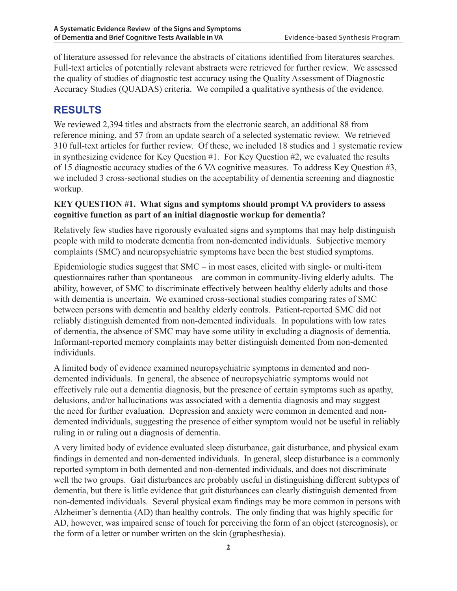of literature assessed for relevance the abstracts of citations identified from literatures searches. Full-text articles of potentially relevant abstracts were retrieved for further review. We assessed the quality of studies of diagnostic test accuracy using the Quality Assessment of Diagnostic Accuracy Studies (QUADAS) criteria. We compiled a qualitative synthesis of the evidence.

#### **RESULTS**

We reviewed 2,394 titles and abstracts from the electronic search, an additional 88 from reference mining, and 57 from an update search of a selected systematic review. We retrieved 310 full-text articles for further review. Of these, we included 18 studies and 1 systematic review in synthesizing evidence for Key Question #1. For Key Question #2, we evaluated the results of 15 diagnostic accuracy studies of the 6 VA cognitive measures. To address Key Question #3, we included 3 cross-sectional studies on the acceptability of dementia screening and diagnostic workup.

#### **KEY QUESTION #1. What signs and symptoms should prompt VA providers to assess cognitive function as part of an initial diagnostic workup for dementia?**

Relatively few studies have rigorously evaluated signs and symptoms that may help distinguish people with mild to moderate dementia from non-demented individuals. Subjective memory complaints (SMC) and neuropsychiatric symptoms have been the best studied symptoms.

Epidemiologic studies suggest that SMC – in most cases, elicited with single- or multi-item questionnaires rather than spontaneous – are common in community-living elderly adults. The ability, however, of SMC to discriminate effectively between healthy elderly adults and those with dementia is uncertain. We examined cross-sectional studies comparing rates of SMC between persons with dementia and healthy elderly controls. Patient-reported SMC did not reliably distinguish demented from non-demented individuals. In populations with low rates of dementia, the absence of SMC may have some utility in excluding a diagnosis of dementia. Informant-reported memory complaints may better distinguish demented from non-demented individuals.

A limited body of evidence examined neuropsychiatric symptoms in demented and nondemented individuals. In general, the absence of neuropsychiatric symptoms would not effectively rule out a dementia diagnosis, but the presence of certain symptoms such as apathy, delusions, and/or hallucinations was associated with a dementia diagnosis and may suggest the need for further evaluation. Depression and anxiety were common in demented and nondemented individuals, suggesting the presence of either symptom would not be useful in reliably ruling in or ruling out a diagnosis of dementia.

A very limited body of evidence evaluated sleep disturbance, gait disturbance, and physical exam findings in demented and non-demented individuals. In general, sleep disturbance is a commonly reported symptom in both demented and non-demented individuals, and does not discriminate well the two groups. Gait disturbances are probably useful in distinguishing different subtypes of dementia, but there is little evidence that gait disturbances can clearly distinguish demented from non-demented individuals. Several physical exam findings may be more common in persons with Alzheimer's dementia (AD) than healthy controls. The only finding that was highly specific for AD, however, was impaired sense of touch for perceiving the form of an object (stereognosis), or the form of a letter or number written on the skin (graphesthesia).